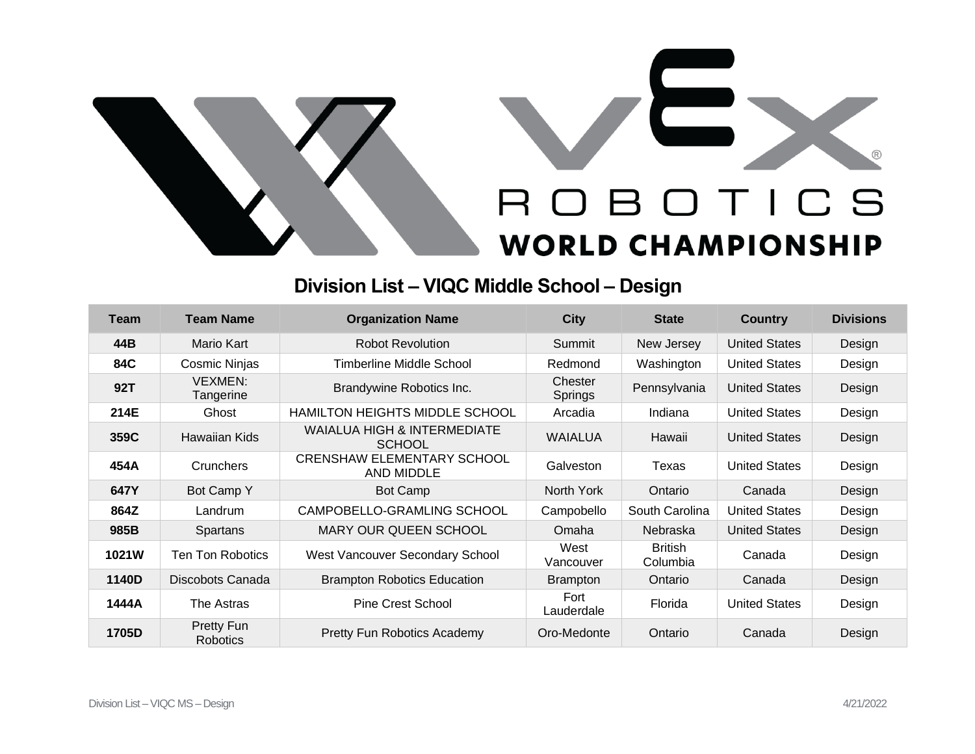

## **Division List – VIQC Middle School – Design**

| Team  | <b>Team Name</b>              | <b>Organization Name</b>                        | <b>City</b>               | <b>State</b>               | Country              | <b>Divisions</b> |
|-------|-------------------------------|-------------------------------------------------|---------------------------|----------------------------|----------------------|------------------|
| 44B   | Mario Kart                    | <b>Robot Revolution</b>                         | Summit                    | New Jersey                 | <b>United States</b> | Design           |
| 84C   | <b>Cosmic Ninjas</b>          | Timberline Middle School                        | Redmond                   | Washington                 | <b>United States</b> | Design           |
| 92T   | <b>VEXMEN:</b><br>Tangerine   | Brandywine Robotics Inc.                        | Chester<br><b>Springs</b> | Pennsylvania               | <b>United States</b> | Design           |
| 214E  | Ghost                         | <b>HAMILTON HEIGHTS MIDDLE SCHOOL</b>           | Arcadia                   | Indiana                    | <b>United States</b> | Design           |
| 359C  | Hawaiian Kids                 | WAIALUA HIGH & INTERMEDIATE<br><b>SCHOOL</b>    | <b>WAIALUA</b>            | Hawaii                     | <b>United States</b> | Design           |
| 454A  | Crunchers                     | <b>CRENSHAW ELEMENTARY SCHOOL</b><br>AND MIDDLE | Galveston                 | Texas                      | <b>United States</b> | Design           |
| 647Y  | Bot Camp Y                    | Bot Camp                                        | North York                | Ontario                    | Canada               | Design           |
| 864Z  | Landrum                       | CAMPOBELLO-GRAMLING SCHOOL                      | Campobello                | South Carolina             | <b>United States</b> | Design           |
| 985B  | Spartans                      | <b>MARY OUR QUEEN SCHOOL</b>                    | Omaha                     | Nebraska                   | <b>United States</b> | Design           |
| 1021W | <b>Ten Ton Robotics</b>       | West Vancouver Secondary School                 | West<br>Vancouver         | <b>British</b><br>Columbia | Canada               | Design           |
| 1140D | Discobots Canada              | <b>Brampton Robotics Education</b>              | <b>Brampton</b>           | Ontario                    | Canada               | Design           |
| 1444A | The Astras                    | Pine Crest School                               | Fort<br>Lauderdale        | Florida                    | <b>United States</b> | Design           |
| 1705D | Pretty Fun<br><b>Robotics</b> | Pretty Fun Robotics Academy                     | Oro-Medonte               | Ontario                    | Canada               | Design           |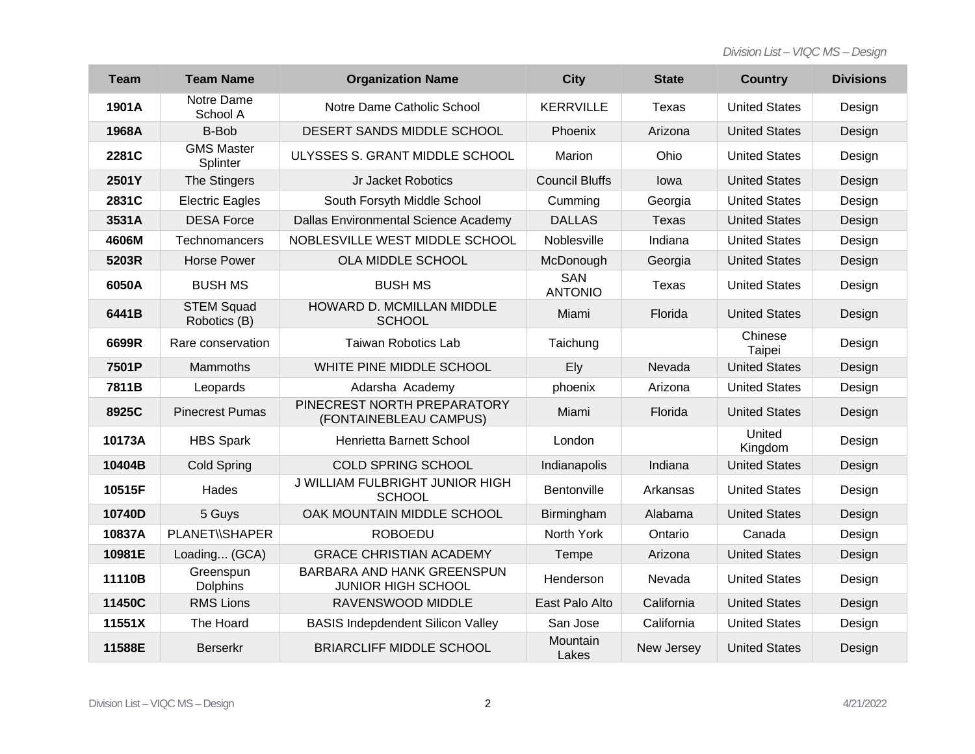*Division List – VIQC MS – Design*

| <b>Team</b> | <b>Team Name</b>                  | <b>Organization Name</b>                                | <b>City</b>           | <b>State</b> | <b>Country</b>       | <b>Divisions</b> |
|-------------|-----------------------------------|---------------------------------------------------------|-----------------------|--------------|----------------------|------------------|
| 1901A       | Notre Dame<br>School A            | Notre Dame Catholic School                              | <b>KERRVILLE</b>      | Texas        | <b>United States</b> | Design           |
| 1968A       | <b>B-Bob</b>                      | DESERT SANDS MIDDLE SCHOOL                              | Phoenix               | Arizona      | <b>United States</b> | Design           |
| 2281C       | <b>GMS Master</b><br>Splinter     | ULYSSES S. GRANT MIDDLE SCHOOL                          | Marion                | Ohio         | <b>United States</b> | Design           |
| 2501Y       | The Stingers                      | Jr Jacket Robotics                                      | <b>Council Bluffs</b> | lowa         | <b>United States</b> | Design           |
| 2831C       | <b>Electric Eagles</b>            | South Forsyth Middle School                             | Cumming               | Georgia      | <b>United States</b> | Design           |
| 3531A       | <b>DESA Force</b>                 | Dallas Environmental Science Academy                    | <b>DALLAS</b>         | <b>Texas</b> | <b>United States</b> | Design           |
| 4606M       | Technomancers                     | NOBLESVILLE WEST MIDDLE SCHOOL                          | Noblesville           | Indiana      | <b>United States</b> | Design           |
| 5203R       | <b>Horse Power</b>                | OLA MIDDLE SCHOOL                                       | McDonough             | Georgia      | <b>United States</b> | Design           |
| 6050A       | <b>BUSH MS</b>                    | <b>BUSH MS</b>                                          | SAN<br><b>ANTONIO</b> | Texas        | <b>United States</b> | Design           |
| 6441B       | <b>STEM Squad</b><br>Robotics (B) | HOWARD D. MCMILLAN MIDDLE<br><b>SCHOOL</b>              | Miami                 | Florida      | <b>United States</b> | Design           |
| 6699R       | Rare conservation                 | <b>Taiwan Robotics Lab</b>                              | Taichung              |              | Chinese<br>Taipei    | Design           |
| 7501P       | Mammoths                          | WHITE PINE MIDDLE SCHOOL                                | Ely                   | Nevada       | <b>United States</b> | Design           |
| 7811B       | Leopards                          | Adarsha Academy                                         | phoenix               | Arizona      | <b>United States</b> | Design           |
| 8925C       | <b>Pinecrest Pumas</b>            | PINECREST NORTH PREPARATORY<br>(FONTAINEBLEAU CAMPUS)   | Miami                 | Florida      | <b>United States</b> | Design           |
| 10173A      | <b>HBS Spark</b>                  | Henrietta Barnett School                                | London                |              | United<br>Kingdom    | Design           |
| 10404B      | <b>Cold Spring</b>                | COLD SPRING SCHOOL                                      | Indianapolis          | Indiana      | <b>United States</b> | Design           |
| 10515F      | Hades                             | J WILLIAM FULBRIGHT JUNIOR HIGH<br><b>SCHOOL</b>        | Bentonville           | Arkansas     | <b>United States</b> | Design           |
| 10740D      | 5 Guys                            | OAK MOUNTAIN MIDDLE SCHOOL                              | Birmingham            | Alabama      | <b>United States</b> | Design           |
| 10837A      | <b>PLANET\\SHAPER</b>             | <b>ROBOEDU</b>                                          | North York            | Ontario      | Canada               | Design           |
| 10981E      | Loading (GCA)                     | <b>GRACE CHRISTIAN ACADEMY</b>                          | Tempe                 | Arizona      | <b>United States</b> | Design           |
| 11110B      | Greenspun<br><b>Dolphins</b>      | BARBARA AND HANK GREENSPUN<br><b>JUNIOR HIGH SCHOOL</b> | Henderson             | Nevada       | <b>United States</b> | Design           |
| 11450C      | <b>RMS Lions</b>                  | RAVENSWOOD MIDDLE                                       | East Palo Alto        | California   | <b>United States</b> | Design           |
| 11551X      | The Hoard                         | <b>BASIS Indepdendent Silicon Valley</b>                | San Jose              | California   | <b>United States</b> | Design           |
| 11588E      | <b>Berserkr</b>                   | <b>BRIARCLIFF MIDDLE SCHOOL</b>                         | Mountain<br>Lakes     | New Jersey   | <b>United States</b> | Design           |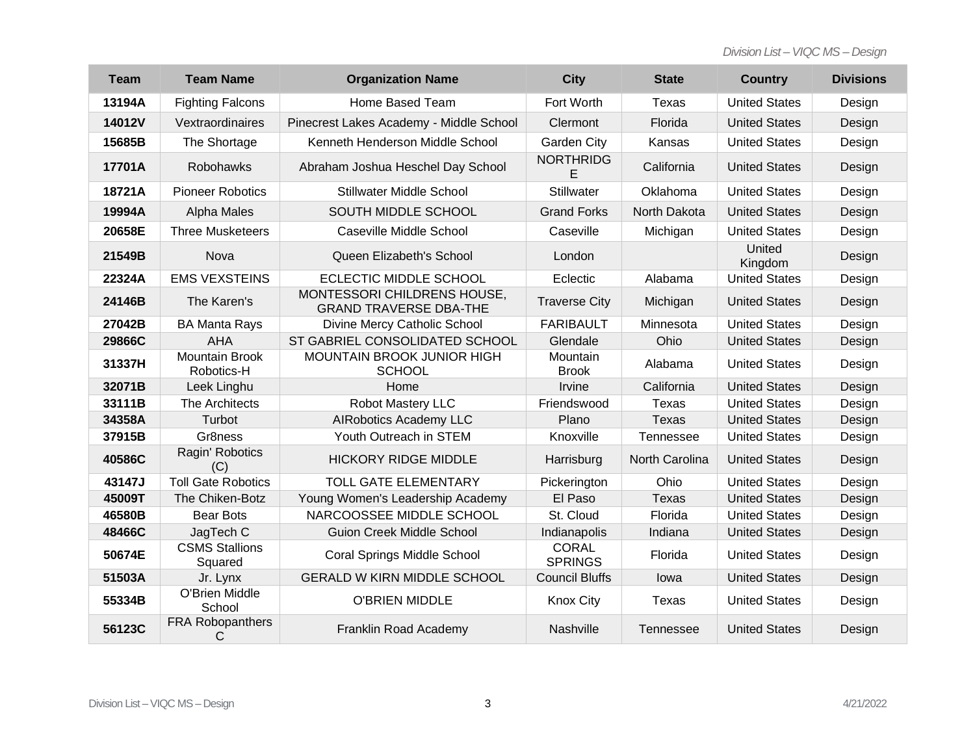*Division List – VIQC MS – Design*

| <b>Team</b> | <b>Team Name</b>                    | <b>Organization Name</b>                                     | <b>City</b>                    | <b>State</b>          | <b>Country</b>       | <b>Divisions</b> |
|-------------|-------------------------------------|--------------------------------------------------------------|--------------------------------|-----------------------|----------------------|------------------|
| 13194A      | <b>Fighting Falcons</b>             | Home Based Team                                              | Fort Worth                     | <b>Texas</b>          | <b>United States</b> | Design           |
| 14012V      | Vextraordinaires                    | Pinecrest Lakes Academy - Middle School                      | Clermont                       | Florida               | <b>United States</b> | Design           |
| 15685B      | The Shortage                        | Kenneth Henderson Middle School                              | Garden City                    | Kansas                | <b>United States</b> | Design           |
| 17701A      | <b>Robohawks</b>                    | Abraham Joshua Heschel Day School                            | <b>NORTHRIDG</b><br>E          | California            | <b>United States</b> | Design           |
| 18721A      | <b>Pioneer Robotics</b>             | <b>Stillwater Middle School</b>                              | Stillwater                     | Oklahoma              | <b>United States</b> | Design           |
| 19994A      | Alpha Males                         | SOUTH MIDDLE SCHOOL                                          | <b>Grand Forks</b>             | North Dakota          | <b>United States</b> | Design           |
| 20658E      | <b>Three Musketeers</b>             | Caseville Middle School                                      | Caseville                      | Michigan              | <b>United States</b> | Design           |
| 21549B      | Nova                                | Queen Elizabeth's School                                     | London                         |                       | United<br>Kingdom    | Design           |
| 22324A      | <b>EMS VEXSTEINS</b>                | ECLECTIC MIDDLE SCHOOL                                       | Eclectic                       | Alabama               | <b>United States</b> | Design           |
| 24146B      | The Karen's                         | MONTESSORI CHILDRENS HOUSE,<br><b>GRAND TRAVERSE DBA-THE</b> | <b>Traverse City</b>           | Michigan              | <b>United States</b> | Design           |
| 27042B      | <b>BA Manta Rays</b>                | Divine Mercy Catholic School                                 | <b>FARIBAULT</b>               | Minnesota             | <b>United States</b> | Design           |
| 29866C      | <b>AHA</b>                          | ST GABRIEL CONSOLIDATED SCHOOL                               | Glendale                       | Ohio                  | <b>United States</b> | Design           |
| 31337H      | <b>Mountain Brook</b><br>Robotics-H | MOUNTAIN BROOK JUNIOR HIGH<br><b>SCHOOL</b>                  | Mountain<br><b>Brook</b>       | Alabama               | <b>United States</b> | Design           |
| 32071B      | Leek Linghu                         | Home                                                         | Irvine                         | California            | <b>United States</b> | Design           |
| 33111B      | The Architects                      | Robot Mastery LLC                                            | Friendswood                    | <b>Texas</b>          | <b>United States</b> | Design           |
| 34358A      | Turbot                              | <b>AIRobotics Academy LLC</b>                                | Plano                          | <b>Texas</b>          | <b>United States</b> | Design           |
| 37915B      | Gr8ness                             | Youth Outreach in STEM                                       | Knoxville                      | <b>Tennessee</b>      | <b>United States</b> | Design           |
| 40586C      | Ragin' Robotics<br>(C)              | <b>HICKORY RIDGE MIDDLE</b>                                  | Harrisburg                     | <b>North Carolina</b> | <b>United States</b> | Design           |
| 43147J      | <b>Toll Gate Robotics</b>           | <b>TOLL GATE ELEMENTARY</b>                                  | Pickerington                   | Ohio                  | <b>United States</b> | Design           |
| 45009T      | The Chiken-Botz                     | Young Women's Leadership Academy                             | El Paso                        | <b>Texas</b>          | <b>United States</b> | Design           |
| 46580B      | <b>Bear Bots</b>                    | NARCOOSSEE MIDDLE SCHOOL                                     | St. Cloud                      | Florida               | <b>United States</b> | Design           |
| 48466C      | JagTech C                           | <b>Guion Creek Middle School</b>                             | Indianapolis                   | Indiana               | <b>United States</b> | Design           |
| 50674E      | <b>CSMS Stallions</b><br>Squared    | Coral Springs Middle School                                  | <b>CORAL</b><br><b>SPRINGS</b> | Florida               | <b>United States</b> | Design           |
| 51503A      | Jr. Lynx                            | <b>GERALD W KIRN MIDDLE SCHOOL</b>                           | <b>Council Bluffs</b>          | lowa                  | <b>United States</b> | Design           |
| 55334B      | O'Brien Middle<br>School            | <b>O'BRIEN MIDDLE</b>                                        | <b>Knox City</b>               | <b>Texas</b>          | <b>United States</b> | Design           |
| 56123C      | FRA Robopanthers<br>С               | Franklin Road Academy                                        | Nashville                      | <b>Tennessee</b>      | <b>United States</b> | Design           |